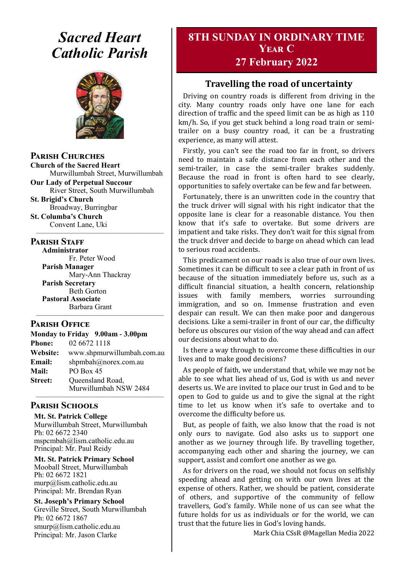# *Sacred Heart Catholic Parish*



**Parish Churches**

**Church of the Sacred Heart** Murwillumbah Street, Murwillumbah

**Our Lady of Perpetual Succour** River Street, South Murwillumbah

**St. Brigid's Church** Broadway, Burringbar

**St. Columba's Church** Convent Lane, Uki —————————————————

#### **PARISH STAFF**

**Administrator** Fr. Peter Wood **Parish Manager** Mary-Ann Thackray **Parish Secretary** Beth Gorton **Pastoral Associate** Barbara Grant

#### **Parish Office**

| Monday to Friday 9.00am - 3.00pm |                            |
|----------------------------------|----------------------------|
| <b>Phone:</b>                    | 02 6672 1118               |
| <b>Website:</b>                  | www.shpmurwillumbah.com.au |
| Email:                           | shpmbah@norex.com.au       |
| <b>Mail:</b>                     | PO Box 45                  |
| <b>Street:</b>                   | Queensland Road,           |
|                                  | Murwillumbah NSW 2484      |

—————————————————

#### ————————————————— **Parish Schools**

**Mt. St. Patrick College** Murwillumbah Street, Murwillumbah Ph: 02 6672 2340 mspcmbah@lism.catholic.edu.au Principal: Mr. Paul Reidy

**Mt. St. Patrick Primary School** Mooball Street, Murwillumbah Ph: 02 6672 1821 murp@lism.catholic.edu.au Principal: Mr. Brendan Ryan

**St. Joseph's Primary School** Greville Street, South Murwillumbah Ph: 02 6672 1867 smurp@lism.catholic.edu.au Principal: Mr. Jason Clarke

# **8TH SUNDAY IN ORDINARY TIME Year C**

# **27 February 2022**

## **Travelling the road of uncertainty**

Driving on country roads is different from driving in the city. Many country roads only have one lane for each direction of traffic and the speed limit can be as high as 110 km/h. So, if you get stuck behind a long road train or semitrailer on a busy country road, it can be a frustrating experience, as many will attest.

Firstly, you can't see the road too far in front, so drivers need to maintain a safe distance from each other and the semi-trailer, in case the semi-trailer brakes suddenly. Because the road in front is often hard to see clearly, opportunities to safely overtake can be few and far between.

Fortunately, there is an unwritten code in the country that the truck driver will signal with his right indicator that the opposite lane is clear for a reasonable distance. You then know that it's safe to overtake. But some drivers are impatient and take risks. They don't wait for this signal from the truck driver and decide to barge on ahead which can lead to serious road accidents.

This predicament on our roads is also true of our own lives. Sometimes it can be difficult to see a clear path in front of us because of the situation immediately before us, such as a difficult financial situation, a health concern, relationship issues with family members, worries surrounding immigration, and so on. Immense frustration and even despair can result. We can then make poor and dangerous decisions. Like a semi-trailer in front of our car, the difficulty before us obscures our vision of the way ahead and can affect our decisions about what to do.

Is there a way through to overcome these difficulties in our lives and to make good decisions?

As people of faith, we understand that, while we may not be able to see what lies ahead of us, God is with us and never deserts us. We are invited to place our trust in God and to be open to God to guide us and to give the signal at the right time to let us know when it's safe to overtake and to overcome the difficulty before us.

But, as people of faith, we also know that the road is not only ours to navigate. God also asks us to support one another as we journey through life. By travelling together, accompanying each other and sharing the journey, we can support, assist and comfort one another as we go.

As for drivers on the road, we should not focus on selfishly speeding ahead and getting on with our own lives at the expense of others. Rather, we should be patient, considerate of others, and supportive of the community of fellow travellers, God's family. While none of us can see what the future holds for us as individuals or for the world, we can trust that the future lies in God's loving hands.

Mark Chia CSsR @Magellan Media 2022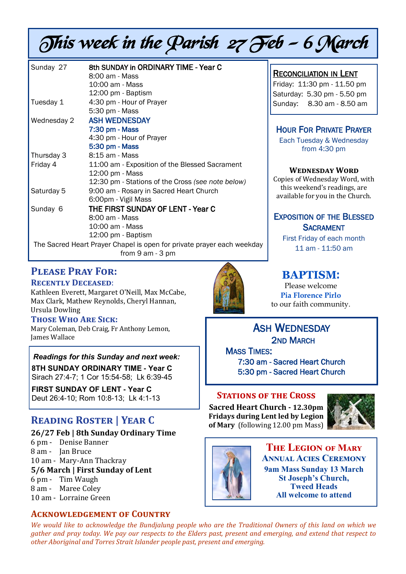# This week in the Parish 27 Feb - 6 March

| Sunday 27                                                              | 8th SUNDAY in ORDINARY TIME - Year C              |
|------------------------------------------------------------------------|---------------------------------------------------|
|                                                                        | 8:00 am - Mass                                    |
|                                                                        | 10:00 am - Mass                                   |
|                                                                        | 12:00 pm - Baptism                                |
| Tuesday 1                                                              | 4:30 pm - Hour of Prayer                          |
|                                                                        | 5:30 pm - Mass                                    |
| Wednesday 2                                                            | <b>ASH WEDNESDAY</b>                              |
|                                                                        | 7:30 pm - Mass                                    |
|                                                                        | 4:30 pm - Hour of Prayer                          |
|                                                                        | 5:30 pm - Mass                                    |
| Thursday 3                                                             | 8:15 am - Mass                                    |
| Friday 4                                                               | 11:00 am - Exposition of the Blessed Sacrament    |
|                                                                        | 12:00 pm - Mass                                   |
|                                                                        | 12:30 pm - Stations of the Cross (see note below) |
| Saturday 5                                                             | 9:00 am - Rosary in Sacred Heart Church           |
|                                                                        | 6:00pm - Vigil Mass                               |
| Sunday 6                                                               | THE FIRST SUNDAY OF LENT - Year C                 |
|                                                                        | 8:00 am - Mass                                    |
|                                                                        | 10:00 am - Mass                                   |
|                                                                        | 12:00 pm - Baptism                                |
| The Sacred Heart Prayer Chapel is open for private prayer each weekday |                                                   |
|                                                                        | from 9 am - 3 pm                                  |

# **Please Pray For:**

**Recently Deceased**:

Kathleen Everett, Margaret O'Neill, Max McCabe, Max Clark, Mathew Reynolds, Cheryl Hannan, Ursula Dowling

#### **Those Who Are Sick:**

Mary Coleman, Deb Craig, Fr Anthony Lemon, James Wallace

#### *Readings for this Sunday and next week:*

**8TH SUNDAY ORDINARY TIME - Year C** Sirach 27:4-7; 1 Cor 15:54-58; Lk 6:39-45

**FIRST SUNDAY OF LENT - Year C** Deut 26:4-10; Rom 10:8-13; Lk 4:1-13

# **Reading Roster | Year C**

#### **26/27 Feb | 8th Sunday Ordinary Time**

- 6 pm Denise Banner
- 8 am Jan Bruce
- 10 am Mary-Ann Thackray

#### **5/6 March | First Sunday of Lent**

- 6 pm Tim Waugh
- 8 am Maree Coley
- 10 am Lorraine Green

## **Acknowledgement of Country**



# RECONCILIATION IN LENT

Friday: 11:30 pm - 11.50 pm Saturday: 5.30 pm - 5.50 pm Sunday: 8.30 am - 8.50 am

## HOUR FOR PRIVATE PRAYER

Each Tuesday & Wednesday from 4:30 pm

#### **Wednesday Word**

Copies of Wednesday Word, with this weekend's readings, are available for you in the Church.

## EXPOSITION OF THE BLESSED **SACRAMENT**

First Friday of each month 11 am - 11:50 am

# **BAPTISM**:

Please welcome **Pia Florence Pirlo** to our faith community.

ASH WEDNESDAY 2ND MARCH

**MASS TIMES:** 7:30 am - Sacred Heart Church 5:30 pm - Sacred Heart Church

#### **STATIONS OF THE CROSS**

**Sacred Heart Church - 12.30pm Fridays during Lent led by Legion of Mary** (following 12.00 pm Mass)





**The Legion of Mary Annual Acies Ceremony 9am Mass Sunday 13 March St Joseph's Church, Tweed Heads All welcome to attend**

*We would like to acknowledge the Bundjalung people who are the Traditional Owners of this land on which we gather and pray today. We pay our respects to the Elders past, present and emerging, and extend that respect to other Aboriginal and Torres Strait Islander people past, present and emerging.*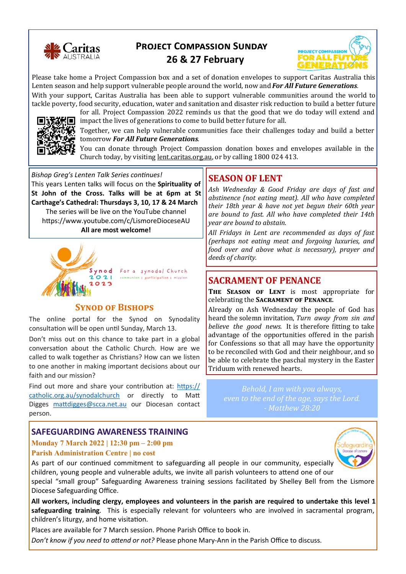

# **Project Compassion Sunday**



# **26 & 27 February**

Please take home a Project Compassion box and a set of donation envelopes to support Caritas Australia this Lenten season and help support vulnerable people around the world, now and *For All Future Generations.*

With your support, Caritas Australia has been able to support vulnerable communities around the world to tackle poverty, food security, education, water and sanitation and disaster risk reduction to build a better future for all. Project Compassion 2022 reminds us that the good that we do today will extend and



impact the lives of generations to come to build better future for all.

Together, we can help vulnerable communities face their challenges today and build a better tomorrow *For All Future Generations.* 

You can donate through Project Compassion donation boxes and envelopes available in the Church today, by visiting [lent.caritas.org.au,](http://www.caritas.org.au/projectcompassion) or by calling 1800 024 413.

*Bishop Greg's Lenten Talk Series continues!*  This years Lenten talks will focus on the **Spirituality of St John of the Cross. Talks will be at 6pm at St Carthage's Cathedral: Thursdays 3, 10, 17 & 24 March**  The series will be live on the YouTube channel https://www.youtube.com/c/LismoreDioceseAU **All are most welcome!**



Synod For a synodal Church communion | participation | mission

#### **SYNOD OF BISHOPS**

The online portal for the Synod on Synodality consultation will be open until Sunday, March 13.

Don't miss out on this chance to take part in a global conversation about the Catholic Church. How are we called to walk together as Christians? How can we listen to one another in making important decisions about our faith and our mission?

Find out more and share your contribution at: [https://](https://catholic.org.au/synodalchurch) [catholic.org.au/synodalchurch](https://catholic.org.au/synodalchurch) or directly to Matt Digges [mattdigges@scca.net.au](mailto:mattdigges@scca.net.au) our Diocesan contact person.

#### **SAFEGUARDING AWARENESS TRAINING**

#### **Monday 7 March 2022 | 12:30 pm – 2:00 pm Parish Administration Centre | no cost**

#### As part of our continued commitment to safeguarding all people in our community, especially children, young people and vulnerable adults, we invite all parish volunteers to attend one of our special "small group" Safeguarding Awareness training sessions facilitated by Shelley Bell from the Lismore Diocese Safeguarding Office.

**All workers, including clergy, employees and volunteers in the parish are required to undertake this level 1 safeguarding training**. This is especially relevant for volunteers who are involved in sacramental program, children's liturgy, and home visitation.

Places are available for 7 March session. Phone Parish Office to book in.

*Don't know if you need to attend or not?* Please phone Mary-Ann in the Parish Office to discuss.

# **SEASON OF LENT**

*Ash Wednesday & Good Friday are days of fast and abstinence (not eating meat). All who have completed their 18th year & have not yet begun their 60th year are bound to fast. All who have completed their 14th year are bound to abstain.* 

*All Fridays in Lent are recommended as days of fast (perhaps not eating meat and forgoing luxuries, and food over and above what is necessary), prayer and deeds of charity.*

## **SACRAMENT OF PENANCE**

THE SEASON OF LENT is most appropriate for celebrating the **Sacrament of Penance**.

Already on Ash Wednesday the people of God has heard the solemn invitation, *Turn away from sin and believe the good news.* It is therefore fitting to take advantage of the opportunities offered in the parish for Confessions so that all may have the opportunity to be reconciled with God and their neighbour, and so be able to celebrate the paschal mystery in the Easter Triduum with renewed hearts.

*Behold, I am with you always, even to the end of the age, says the Lord. - Matthew 28:20*